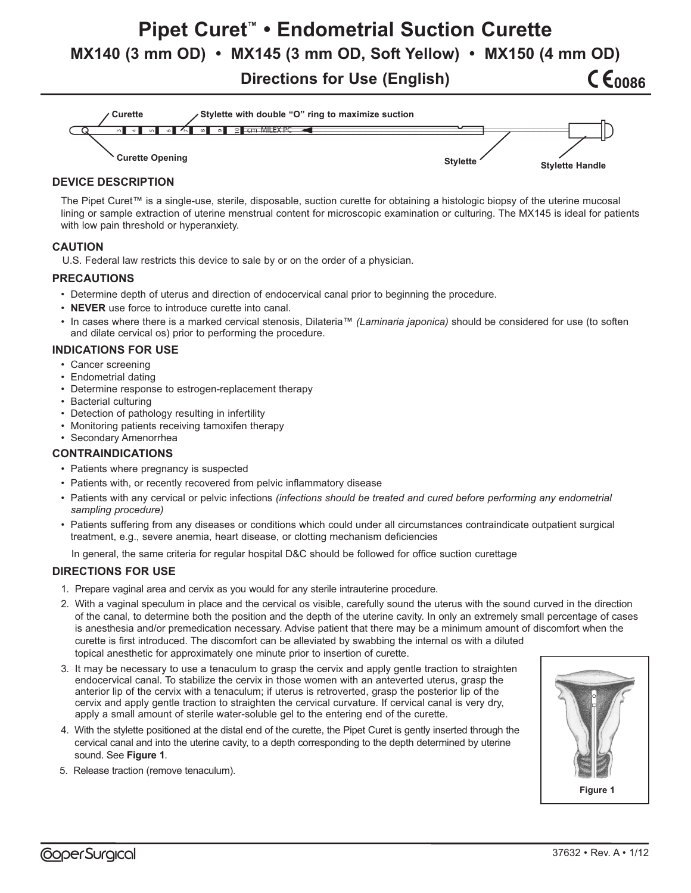# **Pipet Curet™ • Endometrial Suction Curette MX140 (3 mm OD) • MX145 (3 mm OD, Soft Yellow) • MX150 (4 mm OD) CE0086**

**Directions for Use (English)**



## **DEVICE DESCRIPTION**

The Pipet Curet™ is a single-use, sterile, disposable, suction curette for obtaining a histologic biopsy of the uterine mucosal lining or sample extraction of uterine menstrual content for microscopic examination or culturing. The MX145 is ideal for patients with low pain threshold or hyperanxiety.

#### **CAUTION**

U.S. Federal law restricts this device to sale by or on the order of a physician.

#### **PRECAUTIONS**

- Determine depth of uterus and direction of endocervical canal prior to beginning the procedure.
- **NEVER** use force to introduce curette into canal.
- In cases where there is a marked cervical stenosis, Dilateria™ *(Laminaria japonica)* should be considered for use (to soften and dilate cervical os) prior to performing the procedure.

#### **INDICATIONS FOR USE**

- Cancer screening
- Endometrial dating
- Determine response to estrogen-replacement therapy
- Bacterial culturing
- Detection of pathology resulting in infertility
- Monitoring patients receiving tamoxifen therapy
- Secondary Amenorrhea

#### **CONTRAINDICATIONS**

- Patients where pregnancy is suspected
- Patients with, or recently recovered from pelvic inflammatory disease
- Patients with any cervical or pelvic infections *(infections should be treated and cured before performing any endometrial sampling procedure)*
- Patients suffering from any diseases or conditions which could under all circumstances contraindicate outpatient surgical treatment, e.g., severe anemia, heart disease, or clotting mechanism deficiencies

In general, the same criteria for regular hospital D&C should be followed for office suction curettage

#### **DIRECTIONS FOR USE**

- 1. Prepare vaginal area and cervix as you would for any sterile intrauterine procedure.
- 2. With a vaginal speculum in place and the cervical os visible, carefully sound the uterus with the sound curved in the direction of the canal, to determine both the position and the depth of the uterine cavity. In only an extremely small percentage of cases is anesthesia and/or premedication necessary. Advise patient that there may be a minimum amount of discomfort when the curette is first introduced. The discomfort can be alleviated by swabbing the internal os with a diluted topical anesthetic for approximately one minute prior to insertion of curette.
- 3. It may be necessary to use a tenaculum to grasp the cervix and apply gentle traction to straighten endocervical canal. To stabilize the cervix in those women with an anteverted uterus, grasp the anterior lip of the cervix with a tenaculum; if uterus is retroverted, grasp the posterior lip of the cervix and apply gentle traction to straighten the cervical curvature. If cervical canal is very dry, apply a small amount of sterile water-soluble gel to the entering end of the curette.
- 4. With the stylette positioned at the distal end of the curette, the Pipet Curet is gently inserted through the cervical canal and into the uterine cavity, to a depth corresponding to the depth determined by uterine sound. See Figure 1.
- 5. Release traction (remove tenaculum).

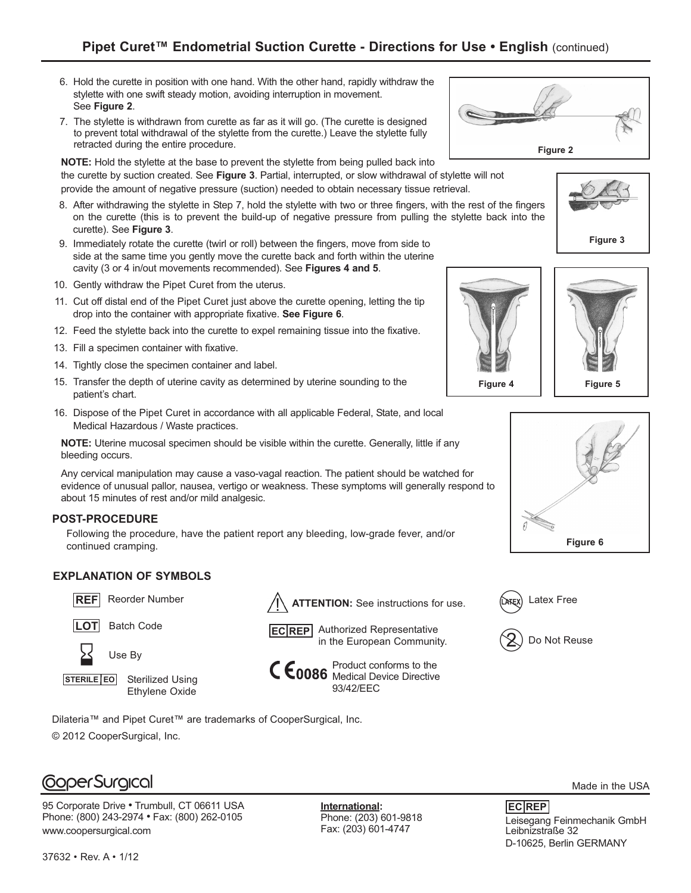- 6. Hold the curette in position with one hand. With the other hand, rapidly withdraw the stylette with one swift steady motion, avoiding interruption in movement. See Figure 2.
- 7. The stylette is withdrawn from curette as far as it will go. (The curette is de signed to prevent total withdrawal of the stylette from the curette.) Leave the stylette fully retracted during the entire procedure.

**NOTE:** Hold the stylette at the base to prevent the stylette from being pulled back into the curette by suction created. See **Figure 3**. Partial, interrupted, or slow with draw al of stylette will not provide the amount of negative pressure (suction) needed to obtain necessary tissue retrieval.

- 8. After withdrawing the stylette in Step 7, hold the stylette with two or three fingers, with the rest of the fingers on the curette (this is to prevent the build-up of negative pressure from pulling the stylette back into the curette). See **Figure 3**.
- 9. Immediately rotate the curette (twirl or roll) between the fingers, move from side to side at the same time you gently move the curette back and forth within the uterine cavity (3 or 4 in/out movements recommended). See **Figures 4 and 5**.
- 10. Gently withdraw the Pipet Curet from the uterus.
- 11. Cut off distal end of the Pipet Curet just above the curette opening, letting the tip drop into the container with appropriate fixative. See Figure 6.
- 12. Feed the stylette back into the curette to expel remaining tissue into the fixative.
- 13. Fill a specimen container with fixative.
- 14. Tightly close the specimen container and label.
- 15. Transfer the depth of uterine cavity as determined by uterine sounding to the patient's chart.
- 16. Dispose of the Pipet Curet in accordance with all applicable Federal, State, and local Medical Hazardous / Waste practices.

**NOTE:** Uterine mucosal specimen should be visible within the curette. Generally, little if any bleeding occurs.

Any cervical manipulation may cause a vaso-vagal reaction. The patient should be watched for evidence of unusual pallor, nausea, vertigo or weakness. These symptoms will generally respond to about 15 minutes of rest and/or mild analgesic.

#### **POST-PROCEDURE**

Following the procedure, have the patient report any bleeding, low-grade fever, and/or continued cramping.

## **EXPLANATION OF SYMBOLS**







Sterilized Using Ethylene Oxide **STERILE EO**

Dilateria™ and Pipet Curet™ are trademarks of CooperSurgical, Inc.

© 2012 CooperSurgical, Inc.



95 Corporate Drive **•** Trumbull, CT 06611 USA Phone: (800) 243-2974 **•** Fax: (800) 262-0105 www.coopersurgical.com

**International:** Phone: (203) 601-9818 Fax: (203) 601-4747















Made in the USA

Leisegang Feinmechanik GmbH Leibnizstraße 32 D-10625, Berlin GERMANY **EC REP**





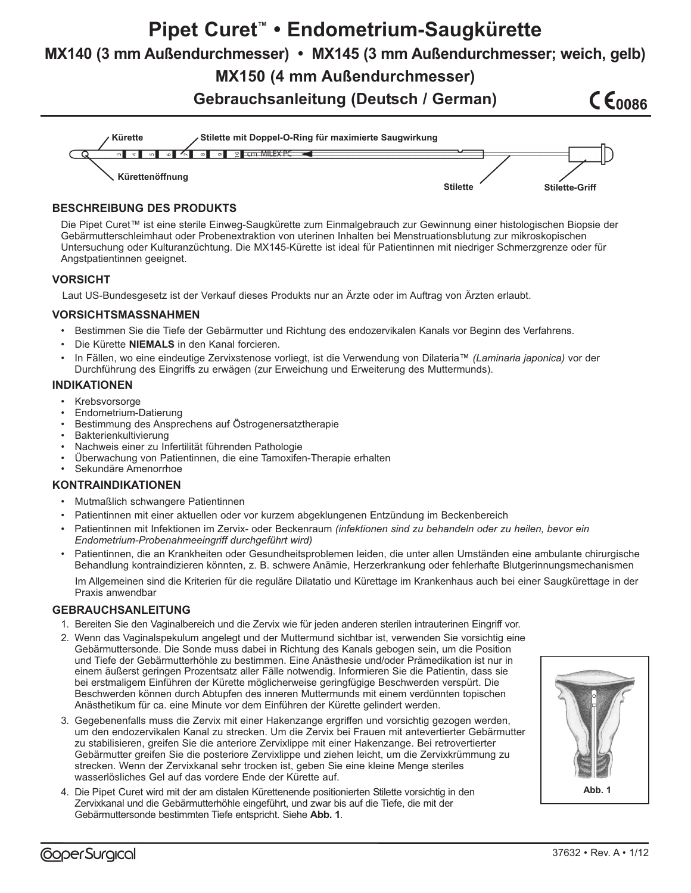# **Pipet Curet™ • Endometrium-Saugkürette**

**MX140 (3 mm Außendurchmesser) • MX145 (3 mm Außendurchmesser; weich, gelb)**

**MX150 (4 mm Außendurchmesser)**

**Gebrauchsanleitung (Deutsch / German)**

# **CE0086**



## **BESCHREIBUNG DES PRODUKTS**

Die Pipet Curet™ ist eine sterile Einweg-Saugkürette zum Einmalgebrauch zur Gewinnung einer histologischen Biopsie der Gebärmutterschleimhaut oder Probenextraktion von uterinen Inhalten bei Menstruationsblutung zur mikroskopischen Untersuchung oder Kulturanzüchtung. Die MX145-Kürette ist ideal für Patientinnen mit niedriger Schmerzgrenze oder für Angstpatientinnen geeignet.

## **VORSICHT**

Laut US-Bundesgesetz ist der Verkauf dieses Produkts nur an Ärzte oder im Auftrag von Ärzten erlaubt.

## **VORSICHTSMASSNAHMEN**

- Bestimmen Sie die Tiefe der Gebärmutter und Richtung des endozervikalen Kanals vor Beginn des Verfahrens.
- Die Kürette **NIEMALS** in den Kanal forcieren.
- In Fällen, wo eine eindeutige Zervixstenose vorliegt, ist die Verwendung von Dilateria™ *(Laminaria japonica)* vor der Durchführung des Eingriffs zu erwägen (zur Erweichung und Erweiterung des Muttermunds).

## **INDIKATIONEN**

- **Krebsvorsorge**
- Endometrium-Datierung
- Bestimmung des Ansprechens auf Östrogenersatztherapie
- Bakterienkultivierung
- Nachweis einer zu Infertilität führenden Pathologie
- Überwachung von Patientinnen, die eine Tamoxifen-Therapie erhalten
- Sekundäre Amenorrhoe

## **KONTRAINDIKATIONEN**

- Mutmaßlich schwangere Patientinnen
- Patientinnen mit einer aktuellen oder vor kurzem abgeklungenen Entzündung im Beckenbereich
- Patientinnen mit Infektionen im Zervix- oder Beckenraum *(infektionen sind zu behandeln oder zu heilen, bevor ein Endometrium-Probenahmeeingriff durchgeführt wird)*
- Patientinnen, die an Krankheiten oder Gesundheitsproblemen leiden, die unter allen Umständen eine ambulante chirurgische Behandlung kontraindizieren könnten, z. B. schwere Anämie, Herzerkrankung oder fehlerhafte Blutgerinnungsmechanismen

Im Allgemeinen sind die Kriterien für die reguläre Dilatatio und Kürettage im Krankenhaus auch bei einer Saugkürettage in der Praxis anwendbar

## **GEBRAUCHSANLEITUNG**

- 1. Bereiten Sie den Vaginalbereich und die Zervix wie für jeden anderen sterilen intrauterinen Eingriff vor.
- 2. Wenn das Vaginalspekulum angelegt und der Muttermund sichtbar ist, verwenden Sie vorsichtig eine Gebärmuttersonde. Die Sonde muss dabei in Richtung des Kanals gebogen sein, um die Position und Tiefe der Gebärmutterhöhle zu bestimmen. Eine Anästhesie und/oder Prämedikation ist nur in einem äußerst geringen Prozentsatz aller Fälle notwendig. Informieren Sie die Patientin, dass sie bei erstmaligem Einführen der Kürette möglicherweise geringfügige Beschwerden verspürt. Die Beschwerden können durch Abtupfen des inneren Muttermunds mit einem verdünnten topischen Anästhetikum für ca. eine Minute vor dem Einführen der Kürette gelindert werden.
- 3. Gegebenenfalls muss die Zervix mit einer Hakenzange ergriffen und vorsichtig gezogen werden, um den endozervikalen Kanal zu strecken. Um die Zervix bei Frauen mit antevertierter Gebärmutter zu stabilisieren, greifen Sie die anteriore Zervixlippe mit einer Hakenzange. Bei retrovertierter Gebärmutter greifen Sie die posteriore Zervixlippe und ziehen leicht, um die Zervixkrümmung zu strecken. Wenn der Zervixkanal sehr trocken ist, geben Sie eine kleine Menge steriles wasserlösliches Gel auf das vordere Ende der Kürette auf.
- 4. Die Pipet Curet wird mit der am distalen Kürettenende positionierten Stilette vorsichtig in den Zervixkanal und die Gebärmutterhöhle eingeführt, und zwar bis auf die Tiefe, die mit der Gebärmuttersonde bestimmten Tiefe entspricht. Siehe **Abb. 1***.*

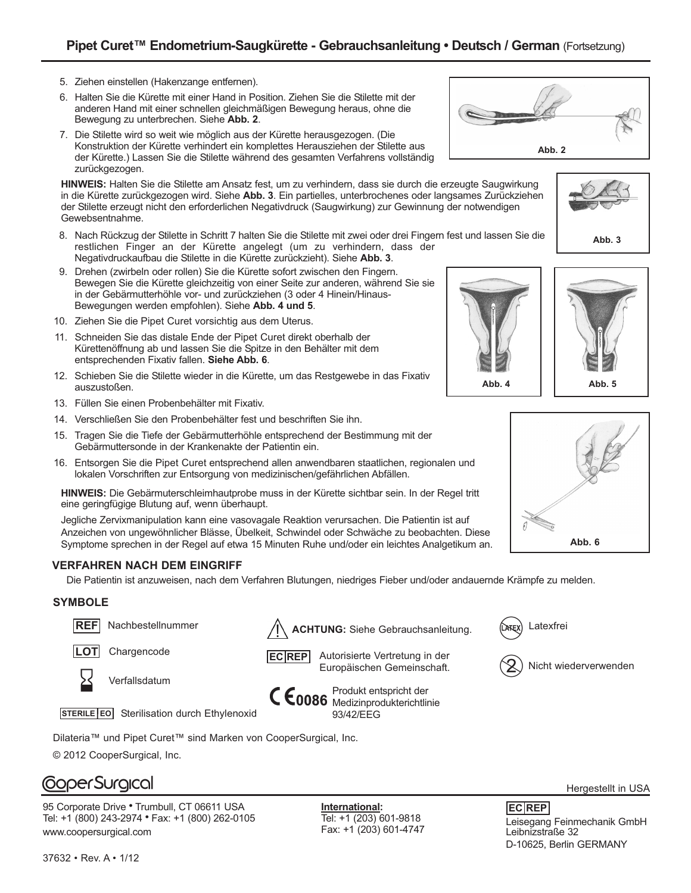- 5. Ziehen einstellen (Hakenzange entfernen).
- 6. Halten Sie die Kürette mit einer Hand in Position. Ziehen Sie die Stilette mit der anderen Hand mit einer schnellen gleichmäßigen Bewegung heraus, ohne die Bewegung zu unterbrechen.Siehe **Abb. 2**.
- 7. Die Stilette wird so weit wie möglich aus der Kürette herausgezogen. (Die Konstruktion der Kürette verhindert ein komplettes Herausziehen der Stilette aus der Kürette.) Lassen Sie die Stilette während des gesamten Verfahrens vollständig zurückgezogen.

**HINWEIS:** Halten Sie die Stilette am Ansatz fest, um zu verhindern, dass sie durch die erzeugte Saugwirkung in die Kürette zurückgezogen wird. Siehe **Abb. 3**. Ein partielles, unterbrochenes oder langsames Zurückziehen der Stilette erzeugt nicht den erforderlichen Negativdruck (Saugwirkung) zur Gewinnung der notwendigen Gewebsentnahme.

- 8. Nach Rückzug der Stilette in Schritt 7 halten Sie die Stilette mit zwei oder drei Fingern fest und lassen Sie die restlichen Finger an der Kürette angelegt (um zu verhindern, dass der Negativdruckaufbau die Stilette in die Kürette zurückzieht). Siehe **Abb. 3**.
- 9. Drehen (zwirbeln oder rollen) Sie die Kürette sofort zwischen den Fingern. Bewegen Sie die Kürette gleichzeitig von einer Seite zur anderen, während Sie sie in der Gebärmutterhöhle vor- und zurückziehen (3 oder 4 Hinein/Hinaus-Bewegungen werden empfohlen). Siehe **Abb. 4 und 5**.
- 10. Ziehen Sie die Pipet Curet vorsichtig aus dem Uterus.
- 11. Schneiden Sie das distale Ende der Pipet Curet direkt oberhalb der Kürettenöffnung ab und lassen Sie die Spitze in den Behälter mit dem entsprechenden Fixativ fallen. **Siehe Abb. 6**.
- 12. Schieben Sie die Stilette wieder in die Kürette, um das Restgewebe in das Fixativ auszustoßen.
- 13. Füllen Sie einen Probenbehälter mit Fixativ.
- 14. Verschließen Sie den Probenbehälter fest und beschriften Sie ihn.
- 15. Tragen Sie die Tiefe der Gebärmutterhöhle entsprechend der Bestimmung mit der Gebärmuttersonde in der Krankenakte der Patientin ein.
- 16. Entsorgen Sie die Pipet Curet entsprechend allen anwendbaren staatlichen, regionalen und lokalen Vorschriften zur Entsorgung von medizinischen/gefährlichen Abfällen.

**HINWEIS:** Die Gebärmuterschleimhautprobe muss in der Kürette sichtbar sein. In der Regel tritt eine geringfügige Blutung auf, wenn überhaupt.

Jegliche Zervixmanipulation kann eine vasovagale Reaktion verursachen. Die Patientin ist auf Anzeichen von ungewöhnlicher Blässe, Übelkeit, Schwindel oder Schwäche zu beobachten. Diese Symptome sprechen in der Regel auf etwa 15 Minuten Ruhe und/oder ein leichtes Analgetikum an.

## **VERFAHREN NACH DEM EINGRIFF**

Die Patientin ist anzuweisen, nach dem Verfahren Blutungen, niedriges Fieber und/oder andauernde Krämpfe zu melden.

## **SYMBOLE**



**LOT** Chargencode



Verfallsdatum

Produkt entspricht der



Dilateria™ und Pipet Curet™ sind Marken von CooperSurgical, Inc. © 2012 CooperSurgical, Inc.

# **CoperSurgical**

95 Corporate Drive **•** Trumbull, CT 06611 USA Tel: +1 (800) 243-2974 **•** Fax: +1 (800) 262-0105 www.coopersurgical.com

**International:** Tel: +1 (203) 601-9818



Fax: +1 (203) 601-4747 Leisegang Feinmechanik GmbH Leibnizstraße 32 D-10625, Berlin GERMANY **EC REP**













Autorisierte Vertretung in der Europäischen Gemeinschaft. **EC REP**



Medizinprodukterichtlinie 93/42/EEG

Latexfrei



Nicht wiederverwenden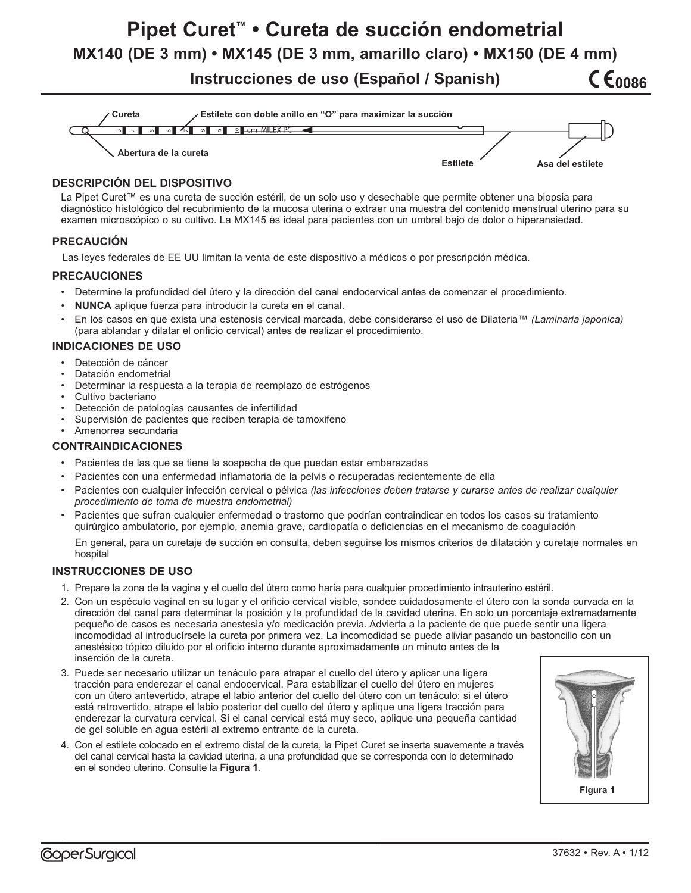# **Pipet Curet™ • Cureta de succión endometrial**

**MX140 (DE 3 mm) • MX145 (DE 3 mm, amarillo claro) • MX150 (DE 4 mm) CE0086** 

**Instrucciones de uso (Español / Spanish)**



## **DESCRIPCIÓN DEL DISPOSITIVO**

La Pipet Curet™ es una cureta de succión estéril, de un solo uso y desechable que permite obtener una biopsia para diagnóstico histológico del recubrimiento de la mucosa uterina o extraer una muestra del contenido menstrual uterino para su examen microscópico o su cultivo. La MX145 es ideal para pacientes con un umbral bajo de dolor o hiperansiedad.

#### **PRECAUCIÓN**

Las leyes federales de EE UU limitan la venta de este dispositivo a médicos o por prescripción médica.

#### **PRECAUCIONES**

- Determine la profundidad del útero y la dirección del canal endocervical antes de comenzar el procedimiento.
- **NUNCA** aplique fuerza para introducir la cureta en el canal.
- En los casos en que exista una estenosis cervical marcada, debe considerarse el uso de Dilateria™ *(Laminaria japonica)* (para ablandar y dilatar el orificio cervical) antes de realizar el procedimiento.

#### **INDICACIONES DE USO**

- Detección de cáncer
- Datación endometrial
- Determinar la respuesta a la terapia de reemplazo de estrógenos
- Cultivo bacteriano
- Detección de patologías causantes de infertilidad
- Supervisión de pacientes que reciben terapia de tamoxifeno
- Amenorrea secundaria

#### **CONTRAINDICACIONES**

- Pacientes de las que se tiene la sospecha de que puedan estar embarazadas
- Pacientes con una enfermedad inflamatoria de la pelvis o recuperadas recientemente de ella
- Pacientes con cualquier infección cervical o pélvica *(las infecciones deben tratarse y curarse antes de realizar cualquier procedimiento de toma de muestra endometrial)*
- Pacientes que sufran cualquier enfermedad o trastorno que podrían contraindicar en todos los casos su tratamiento quirúrgico ambulatorio, por ejemplo, anemia grave, cardiopatía o deficiencias en el mecanismo de coagulación

En general, para un curetaje de succión en consulta, deben seguirse los mismos criterios de dilatación y curetaje normales en hospital

#### **INSTRUCCIONES DE USO**

- 1. Prepare la zona de la vagina y el cuello del útero como haría para cualquier procedimiento intrauterino estéril.
- 2. Con un espéculo vaginal en su lugar y el orificio cervical visible, sondee cuidadosamente el útero con la sonda curvada en la dirección del canal para determinar la posición y la profundidad de la cavidad uterina. En solo un porcentaje extremadamente pequeño de casos es necesaria anestesia y/o medicación previa. Advierta a la paciente de que puede sentir una ligera incomodidad al introducírsele la cureta por primera vez. La incomodidad se puede aliviar pasando un bastoncillo con un anestésico tópico diluido por el orificio interno durante aproximadamente un minuto antes de la inserción de la cureta.
- 3. Puede ser necesario utilizar un tenáculo para atrapar el cuello del útero y aplicar una ligera tracción para enderezar el canal endocervical. Para estabilizar el cuello del útero en mujeres con un útero antevertido, atrape el labio anterior del cuello del útero con un tenáculo; si el útero está retrovertido, atrape el labio posterior del cuello del útero y aplique una ligera tracción para enderezar la curvatura cervical. Si el canal cervical está muy seco, aplique una pequeña cantidad de gel soluble en agua estéril al extremo entrante de la cureta.
- 4. Con el estilete colocado en el extremo distal de la cureta, la Pipet Curet se inserta suavemente a través del canal cervical hasta la cavidad uterina, a una profundidad que se corresponda con lo determinado en el sondeo uterino. Consulte la Figura 1.

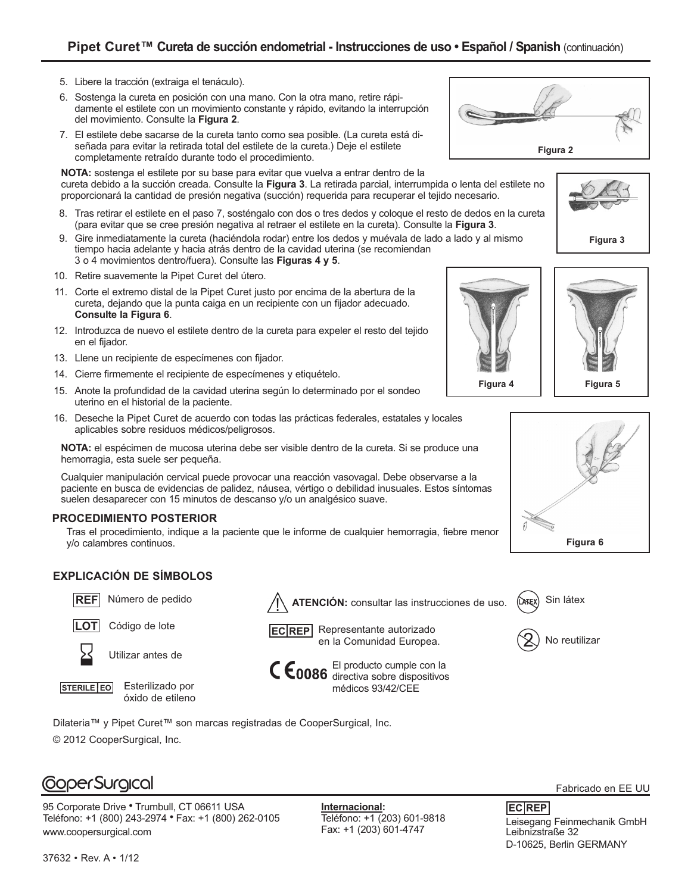## **Pipet Curet™ Cureta de succión endometrial - Instrucciones de uso • Español / Spanish** (continuación)

- 5. Libere la tracción (extraiga el tenáculo).
- 6. Sostenga la cureta en posición con una mano. Con la otra mano, retire rápidamente el estilete con un movimiento constante y rápido, evitando la interrupción del movimiento. Consulte la **Figura 2.**
- 7. El estilete debe sacarse de la cureta tanto como sea posible. (La cureta está diseñada para evitar la retirada total del estilete de la cureta.) Deje el estilete completamente retraído durante todo el procedimiento.

**NOTA:** sostenga el estilete por su base para evitar que vuelva a entrar dentro de la cureta debido a la succión creada. Consulte la Figura 3. La retirada parcial, interrumpida o lenta del estilete no proporcionará la cantidad de presión negativa (succión) requerida para recuperar el tejido necesario.

- 8. Tras retirar el estilete en el paso 7, sosténgalo con dos o tres dedos y coloque el resto de dedos en la cureta (para evitar que se cree presión negativa al retraer el estilete en la cureta). Consulte la **Figura 3**.
- 9. Gire inmediatamente la cureta (haciéndola rodar) entre los dedos y muévala de lado a lado y al mismo tiempo hacia adelante y hacia atrás dentro de la cavidad uterina (se recomiendan 3 o 4 movimientos dentro/fuera). Consulte las **Figuras 4 y 5**.
- 10. Retire suavemente la Pipet Curet del útero.
- 11. Corte el extremo distal de la Pipet Curet justo por encima de la abertura de la cureta, dejando que la punta caiga en un recipiente con un fijador adecuado. **Consulte la Figura 6**.
- 12. Introduzca de nuevo el estilete dentro de la cureta para expeler el resto del tejido en el fijador.
- 13. Llene un recipiente de especímenes con fijador.
- 14. Cierre firmemente el recipiente de especímenes y etiquételo.
- 15. Anote la profundidad de la cavidad uterina según lo determinado por el sondeo uterino en el historial de la paciente.
- 16. Deseche la Pipet Curet de acuerdo con todas las prácticas federales, estatales y locales aplicables sobre residuos médicos/peligrosos.

**NOTA:** el espécimen de mucosa uterina debe ser visible dentro de la cureta. Si se produce una hemorragia, esta suele ser pequeña.

Cualquier manipulación cervical puede provocar una reacción vasovagal. Debe observarse a la paciente en busca de evidencias de palidez, náusea, vértigo o debilidad inusuales. Estos síntomas suelen desaparecer con 15 minutos de descanso y/o un analgésico suave.

#### **PROCEDIMIENTO POSTERIOR**

Tras el procedimiento, indique a la paciente que le informe de cualquier hemorragia, fiebre menor y/o calambres continuos.

## **EXPLICACIÓN DE SÍMBOLOS**





Utilizar antes de

**STERILE EO** Esterilizado por óxido de etileno

**REF** Número de pedido  $\sqrt{ }$  **ATENCIÓN:** consultar las instrucciones de uso. **CATEX** 





El producto cumple con la directiva sobre dispositivos médicos 93/42/CEE

Dilateria™ y Pipet Curet™ son marcas registradas de CooperSurgical, Inc.

© 2012 CooperSurgical, Inc.

## **CoperSurgical**

95 Corporate Drive **•** Trumbull, CT 06611 USA Teléfono: +1 (800) 243-2974 **•** Fax: +1 (800) 262-0105 www.coopersurgical.com

**Internacional:** Teléfono: +1 (203) 601-9818















Sin látex

Fabricado en EE UU

Telefono: +1 (203) 601-9818<br>Fax: +1 (203) 601-4747 Teibnizstraße 32 Leibnizstraße 32 D-10625, Berlin GERMANY **EC REP**

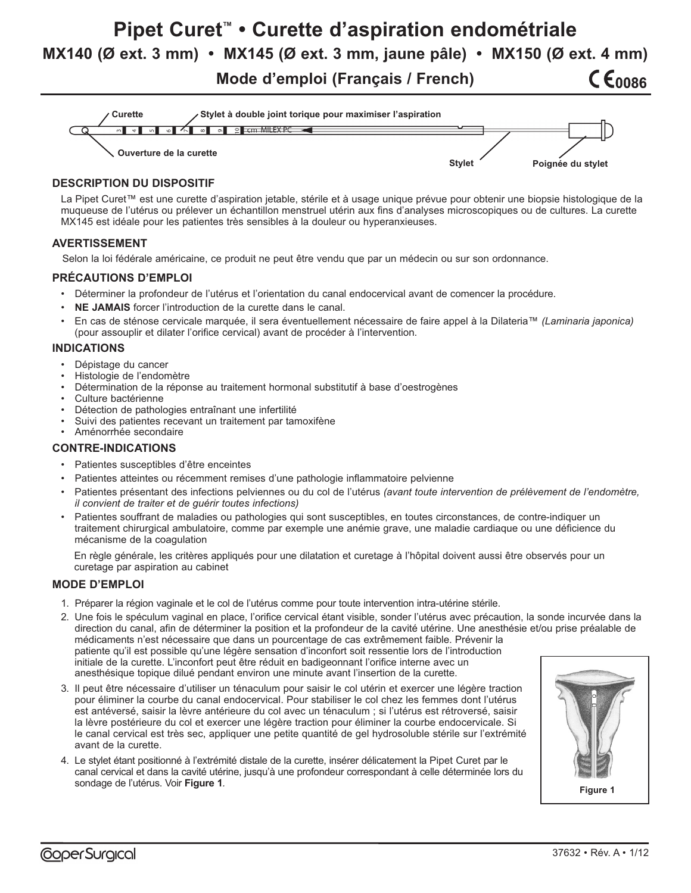**Pipet Curet™ • Curette d'aspiration endométriale MX140 (Ø ext. 3 mm) • MX145 (Ø ext. 3 mm, jaune pâle) • MX150 (Ø ext. 4 mm)**

**Mode d'emploi (Français / French)**



#### **DESCRIPTION DU DISPOSITIF**

La Pipet Curet™ est une curette d'aspiration jetable, stérile et à usage unique prévue pour obtenir une biopsie histologique de la muqueuse de l'utérus ou prélever un échantillon menstruel utérin aux fins d'analyses microscopiques ou de cultures. La curette MX145 est idéale pour les patientes très sensibles à la douleur ou hyperanxieuses.

#### **AVERTISSEMENT**

Selon la loi fédérale américaine, ce produit ne peut être vendu que par un médecin ou sur son ordonnance.

#### **PRÉCAUTIONS D'EMPLOI**

- Déterminer la profondeur de l'utérus et l'orientation du canal endocervical avant de comencer la procédure.
- **NE JAMAIS** forcer l'introduction de la curette dans le canal.
- En cas de sténose cervicale marquée, il sera éventuellement nécessaire de faire appel à la Dilateria™ *(Laminaria japonica)* (pour assouplir et dilater l'orifice cervical) avant de procéder à l'intervention.

#### **INDICATIONS**

- Dépistage du cancer
- Histologie de l'endomètre
- Détermination de la réponse au traitement hormonal substitutif à base d'oestrogènes
- Culture bactérienne
- Détection de pathologies entraînant une infertilité
- Suivi des patientes recevant un traitement par tamoxifène
- Aménorrhée secondaire

#### **CONTRE-INDICATIONS**

- Patientes susceptibles d'être enceintes
- Patientes atteintes ou récemment remises d'une pathologie inflammatoire pelvienne
- Patientes présentant des infections pelviennes ou du col de l'utérus *(avant toute intervention de prélèvement de l'endomètre, il convient de traiter et de guérir toutes infections)*
- Patientes souffrant de maladies ou pathologies qui sont susceptibles, en toutes circonstances, de contre-indiquer un traitement chirurgical ambulatoire, comme par exemple une anémie grave, une maladie cardiaque ou une déficience du mécanisme de la coagulation

En règle générale, les critères appliqués pour une dilatation et curetage à l'hôpital doivent aussi être observés pour un curetage par aspiration au cabinet

#### **MODE D'EMPLOI**

- 1. Préparer la région vaginale et le col de l'utérus comme pour toute intervention intra-utérine stérile.
- 2. Une fois le spéculum vaginal en place, l'orifice cervical étant visible, sonder l'utérus avec précaution, la sonde incurvée dans la direction du canal, afin de déterminer la position et la profondeur de la cavité utérine. Une anesthésie et/ou prise préalable de médicaments n'est nécessaire que dans un pourcentage de cas extrêmement faible. Prévenir la patiente qu'il est possible qu'une légère sensation d'inconfort soit ressentie lors de l'introduction initiale de la curette. L'inconfort peut être réduit en badigeonnant l'orifice interne avec un anesthésique topique dilué pendant environ une minute avant l'insertion de la curette.
- 3. Il peut être nécessaire d'utiliser un ténaculum pour saisir le col utérin et exercer une légère traction pour éliminer la courbe du canal endocervical. Pour stabiliser le col chez les femmes dont l'utérus est antéversé, saisir la lèvre antérieure du col avec un ténaculum ; si l'utérus est rétroversé, saisir la lèvre postérieure du col et exercer une légère traction pour éliminer la courbe endocervicale. Si le canal cervical est très sec, appliquer une petite quantité de gel hydrosoluble stérile sur l'extrémité avant de la curette.
- 4. Le stylet étant positionné à l'extrémité distale de la curette, insérer délicatement la Pipet Curet par le canal cervical et dans la cavité utérine, jusqu'à une profondeur correspondant à celle déterminée lors du sondage de l'utérus. Voir **Figure 1**.



C E0086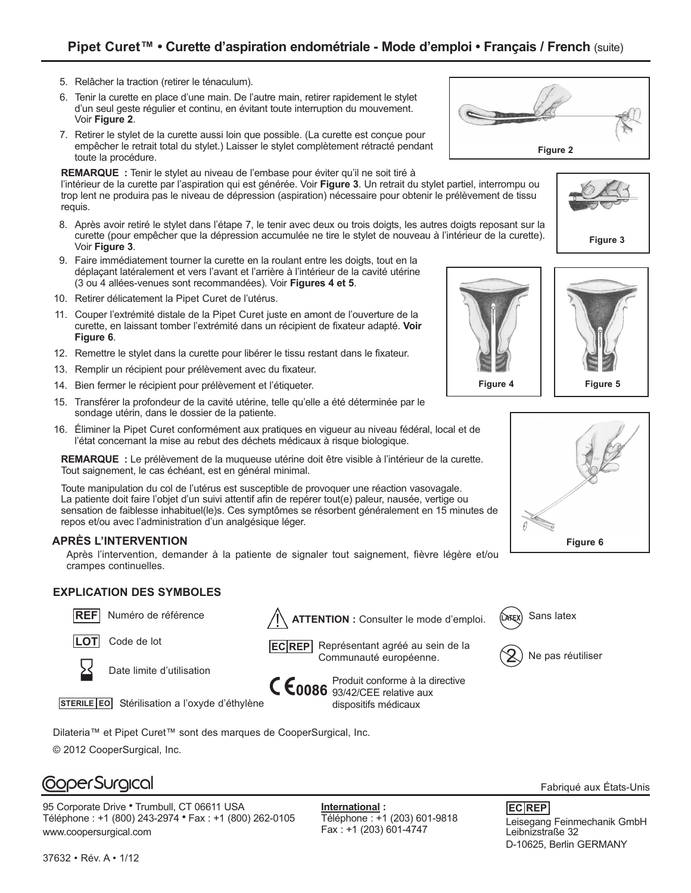- 5. Relâcher la traction (retirer le ténaculum).
- 6. Tenir la curette en place d'une main. De l'autre main, retirer rapidement le stylet d'un seul geste régulier et continu, en évitant toute interruption du mouvement. Voir **Figure 2.**
- 7. Retirer le stylet de la curette aussi loin que possible. (La curette est conçue pour empêcher le retrait total du stylet.) Laisser le stylet complètement rétracté pendant toute la procédure.

#### **REMARQUE :** Tenir le stylet au niveau de l'embase pour éviter qu'il ne soit tiré à

l'intérieur de la curette par l'aspiration qui est générée. Voir **Figure 3**. Un retrait du stylet partiel, interrompu ou trop lent ne produira pas le niveau de dépression (aspiration) nécessaire pour obtenir le prélèvement de tissu requis.

- 8. Après avoir retiré le stylet dans l'étape 7, le tenir avec deux ou trois doigts, les autres doigts reposant sur la curette (pour empêcher que la dépression accumulée ne tire le stylet de nouveau à l'intérieur de la curette). Voir **Figure 3**.
- 9. Faire immédiatement tourner la curette en la roulant entre les doigts, tout en la déplaçant latéralement et vers l'avant et l'arrière à l'intérieur de la cavité utérine (3 ou 4 allées-venues sont recommandées). Voir **Figures 4 et 5**.
- 10. Retirer délicatement la Pipet Curet de l'utérus.
- 11. Couper l'extrémité distale de la Pipet Curet juste en amont de l'ouverture de la curette, en laissant tomber l'extrémité dans un récipient de fixateur adapté. **Voir Figure 6**.
- 12. Remettre le stylet dans la curette pour libérer le tissu restant dans le fixateur.
- 13. Remplir un récipient pour prélèvement avec du fixateur.
- 14. Bien fermer le récipient pour prélèvement et l'étiqueter.
- 15. Transférer la profondeur de la cavité utérine, telle qu'elle a été déterminée par le sondage utérin, dans le dossier de la patiente.
- 16. Éliminer la Pipet Curet conformément aux pratiques en vigueur au niveau fédéral, local et de l'état concernant la mise au rebut des déchets médicaux à risque biologique.

**REMARQUE :** Le prélèvement de la muqueuse utérine doit être visible à l'intérieur de la curette. Tout saignement, le cas échéant, est en général minimal.

Toute manipulation du col de l'utérus est susceptible de provoquer une réaction vasovagale. La patiente doit faire l'objet d'un suivi attentif afin de repérer tout(e) paleur, nausée, vertige ou sensation de faiblesse inhabituel(le)s. Ces symptômes se résorbent généralement en 15 minutes de repos et/ou avec l'administration d'un analgésique léger.

#### **APRÈS L'INTERVENTION**

Après l'intervention, demander à la patiente de signaler tout saignement, fièvre légère et/ou crampes continuelles.

#### **EXPLICATION DES SYMBOLES**



**LOT** Code de lot



Date limite d'utilisation

Produit conforme à la directive  $C \epsilon_{0086}$   $^{Prouant count 1000}$  relative aux dispositifs médicaux

Sans latex



**STERILE EO** Stérilisation a l'oxyde d'éthylène

Ne pas réutiliser



Dilateria™ et Pipet Curet™ sont des marques de CooperSurgical, Inc.

© 2012 CooperSurgical, Inc.

## **CoperSurgical**

95 Corporate Drive **•** Trumbull, CT 06611 USA Téléphone : +1 (800) 243-2974 **•** Fax : +1 (800) 262-0105 www.coopersurgical.com

**International :** Téléphone : +1 (203) 601-9818 Fabriqué aux États-Unis

Telephone : +1 (203) 601-9818<br>Fax : +1 (203) 601-4747 Teibnizstraße 32 Leibnizstraße 32 D-10625, Berlin GERMANY **EC REP**







**Figure 3**



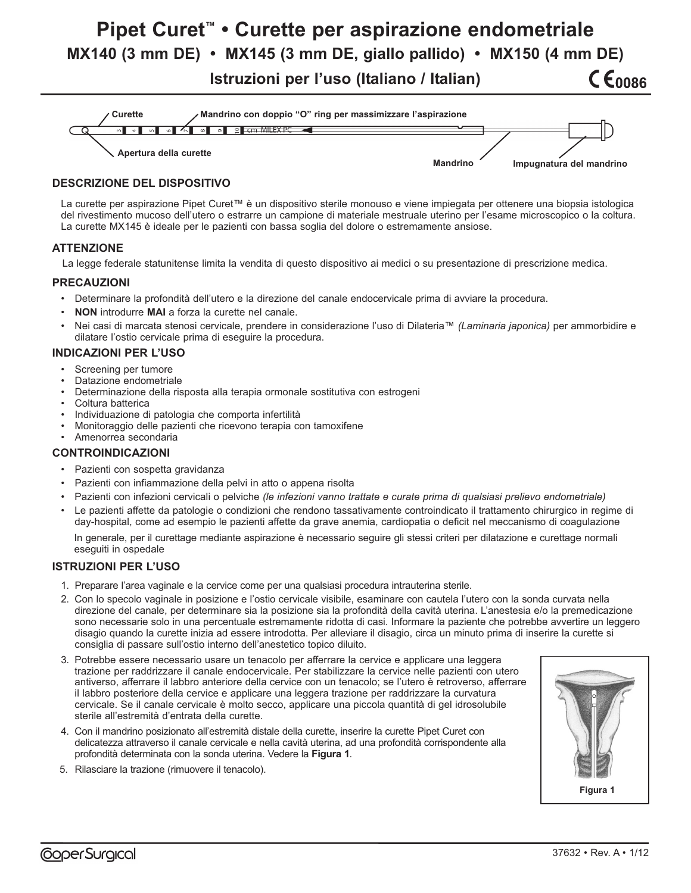# **Pipet Curet™ • Curette per aspirazione endometriale MX140 (3 mm DE) • MX145 (3 mm DE, giallo pallido) • MX150 (4 mm DE) CE0086**

**Istruzioni per l'uso (Italiano / Italian)**



## **DESCRIZIONE DEL DISPOSITIVO**

La curette per aspirazione Pipet Curet™ è un dispositivo sterile monouso e viene impiegata per ottenere una biopsia istologica del rivestimento mucoso dell'utero o estrarre un campione di materiale mestruale uterino per l'esame microscopico o la coltura. La curette MX145 è ideale per le pazienti con bassa soglia del dolore o estremamente ansiose.

## **ATTENZIONE**

La legge federale statunitense limita la vendita di questo dispositivo ai medici o su presentazione di prescrizione medica.

#### **PRECAUZIONI**

- Determinare la profondità dell'utero e la direzione del canale endocervicale prima di avviare la procedura.
- **NON** introdurre **MAI** a forza la curette nel canale.
- Nei casi di marcata stenosi cervicale, prendere in considerazione l'uso di Dilateria™ *(Laminaria japonica)* per ammorbidire e dilatare l'ostio cervicale prima di eseguire la procedura.

### **INDICAZIONI PER L'USO**

- Screening per tumore
- Datazione endometriale
- Determinazione della risposta alla terapia ormonale sostitutiva con estrogeni
- Coltura batterica
- Individuazione di patologia che comporta infertilità
- Monitoraggio delle pazienti che ricevono terapia con tamoxifene
- Amenorrea secondaria

## **CONTROINDICAZIONI**

- Pazienti con sospetta gravidanza
- Pazienti con infiammazione della pelvi in atto o appena risolta
- Pazienti con infezioni cervicali o pelviche *(le infezioni vanno trattate e curate prima di qualsiasi prelievo endometriale)*
- Le pazienti affette da patologie o condizioni che rendono tassativamente controindicato il trattamento chirurgico in regime di day-hospital, come ad esempio le pazienti affette da grave anemia, cardiopatia o deficit nel meccanismo di coagulazione

In generale, per il curettage mediante aspirazione è necessario seguire gli stessi criteri per dilatazione e curettage normali eseguiti in ospedale

## **ISTRUZIONI PER L'USO**

- 1. Preparare l'area vaginale e la cervice come per una qualsiasi procedura intrauterina sterile.
- 2. Con lo specolo vaginale in posizione e l'ostio cervicale visibile, esaminare con cautela l'utero con la sonda curvata nella direzione del canale, per determinare sia la posizione sia la profondità della cavità uterina. L'anestesia e/o la premedicazione sono necessarie solo in una percentuale estremamente ridotta di casi. Informare la paziente che potrebbe avvertire un leggero disagio quando la curette inizia ad essere introdotta. Per alleviare il disagio, circa un minuto prima di inserire la curette si consiglia di passare sull'ostio interno dell'anestetico topico diluito.
- 3. Potrebbe essere necessario usare un tenacolo per afferrare la cervice e applicare una leggera trazione per raddrizzare il canale endocervicale. Per stabilizzare la cervice nelle pazienti con utero antiverso, afferrare il labbro anteriore della cervice con un tenacolo; se l'utero è retroverso, afferrare il labbro posteriore della cervice e applicare una leggera trazione per raddrizzare la curvatura cervicale. Se il canale cervicale è molto secco, applicare una piccola quantità di gel idrosolubile sterile all'estremità d'entrata della curette.
- 4. Con il mandrino posizionato all'estremità distale della curette, inserire la curette Pipet Curet con delicatezza attraverso il canale cervicale e nella cavità uterina, ad una profondità corrispondente alla profondità determinata con la sonda uterina. Vedere la **Figura 1**.
- 5. Rilasciare la trazione (rimuovere il tenacolo).